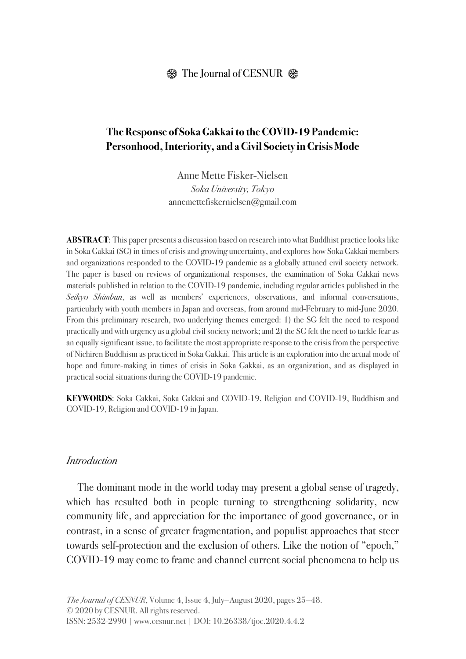### $\circledR$  The Journal of CESNUR  $\circledR$

# **The Response of Soka Gakkai to the COVID-19 Pandemic: Personhood, Interiority, and a Civil Society in Crisis Mode**

Anne Mette Fisker-Nielsen Soka University, Tokyo annemettefiskernielsen@gmail.com

**ABSTRACT**: This paper presents a discussion based on research into what Buddhist practice looks like in Soka Gakkai (SG) in times of crisis and growing uncertainty, and explores how Soka Gakkai members and organizations responded to the COVID-19 pandemic as a globally attuned civil society network. The paper is based on reviews of organizational responses, the examination of Soka Gakkai news materials published in relation to the COVID-19 pandemic, including regular articles published in the Seikyo Shimbun, as well as members' experiences, observations, and informal conversations, particularly with youth members in Japan and overseas, from around mid-February to mid-June 2020. From this preliminary research, two underlying themes emerged: 1) the SG felt the need to respond practically and with urgency as a global civil society network; and 2) the SG felt the need to tackle fear as an equally significant issue, to facilitate the most appropriate response to the crisis from the perspective of Nichiren Buddhism as practiced in Soka Gakkai. This article is an exploration into the actual mode of hope and future-making in times of crisis in Soka Gakkai, as an organization, and as displayed in practical social situations during the COVID-19 pandemic.

**KEYWORDS**: Soka Gakkai, Soka Gakkai and COVID-19, Religion and COVID-19, Buddhism and COVID-19, Religion and COVID-19 in Japan.

#### *Introduction*

The dominant mode in the world today may present a global sense of tragedy, which has resulted both in people turning to strengthening solidarity, new community life, and appreciation for the importance of good governance, or in contrast, in a sense of greater fragmentation, and populist approaches that steer towards self-protection and the exclusion of others. Like the notion of "epoch," COVID-19 may come to frame and channel current social phenomena to help us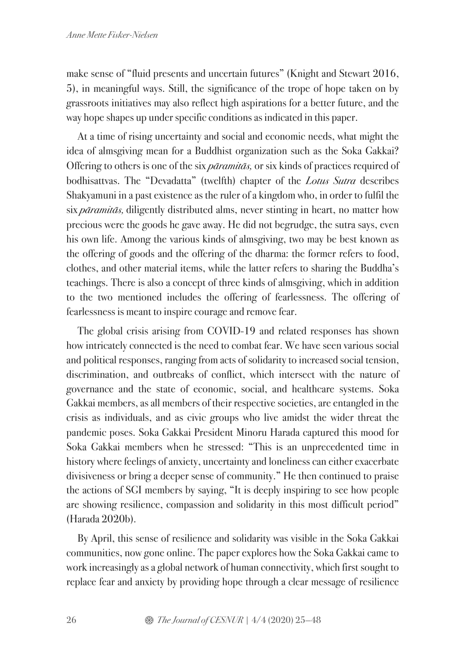make sense of "fluid presents and uncertain futures" (Knight and Stewart 2016, 5), in meaningful ways. Still, the significance of the trope of hope taken on by grassroots initiatives may also reflect high aspirations for a better future, and the way hope shapes up under specific conditions as indicated in this paper.

At a time of rising uncertainty and social and economic needs, what might the idea of almsgiving mean for a Buddhist organization such as the Soka Gakkai? Offering to others is one of the six *p*ā*ramit*ā*s,* or six kinds of practices required of bodhisattvas. The "Devadatta" (twelfth) chapter of the *Lotus Sutra* describes Shakyamuni in a past existence as the ruler of a kingdom who, in order to fulfil the six *p*ā*ramit*ā*s,* diligently distributed alms, never stinting in heart, no matter how precious were the goods he gave away. He did not begrudge, the sutra says, even his own life. Among the various kinds of almsgiving, two may be best known as the offering of goods and the offering of the dharma: the former refers to food, clothes, and other material items, while the latter refers to sharing the Buddha's teachings. There is also a concept of three kinds of almsgiving, which in addition to the two mentioned includes the offering of fearlessness. The offering of fearlessness is meant to inspire courage and remove fear.

The global crisis arising from COVID-19 and related responses has shown how intricately connected is the need to combat fear. We have seen various social and political responses, ranging from acts of solidarity to increased social tension, discrimination, and outbreaks of conflict, which intersect with the nature of governance and the state of economic, social, and healthcare systems. Soka Gakkai members, as all members of their respective societies, are entangled in the crisis as individuals, and as civic groups who live amidst the wider threat the pandemic poses. Soka Gakkai President Minoru Harada captured this mood for Soka Gakkai members when he stressed: "This is an unprecedented time in history where feelings of anxiety, uncertainty and loneliness can either exacerbate divisiveness or bring a deeper sense of community." He then continued to praise the actions of SGI members by saying, "It is deeply inspiring to see how people are showing resilience, compassion and solidarity in this most difficult period" (Harada 2020b).

By April, this sense of resilience and solidarity was visible in the Soka Gakkai communities, now gone online. The paper explores how the Soka Gakkai came to work increasingly as a global network of human connectivity, which first sought to replace fear and anxiety by providing hope through a clear message of resilience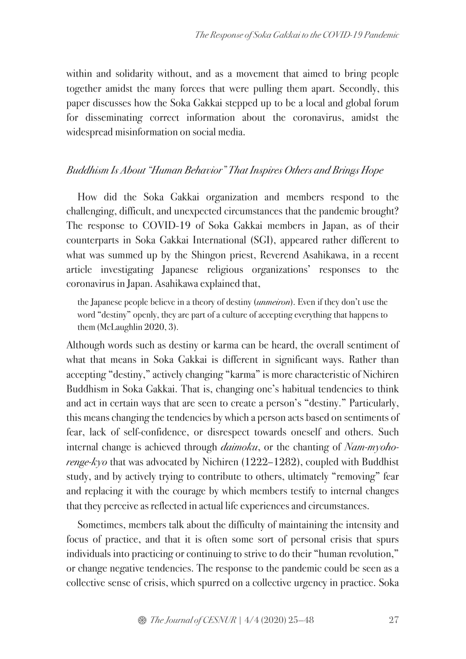within and solidarity without, and as a movement that aimed to bring people together amidst the many forces that were pulling them apart. Secondly, this paper discusses how the Soka Gakkai stepped up to be a local and global forum for disseminating correct information about the coronavirus, amidst the widespread misinformation on social media.

## *Buddhism Is About "Human Behavior" That Inspires Others and Brings Hope*

How did the Soka Gakkai organization and members respond to the challenging, difficult, and unexpected circumstances that the pandemic brought? The response to COVID-19 of Soka Gakkai members in Japan, as of their counterparts in Soka Gakkai International (SGI), appeared rather different to what was summed up by the Shingon priest, Reverend Asahikawa, in a recent article investigating Japanese religious organizations' responses to the coronavirus in Japan. Asahikawa explained that,

the Japanese people believe in a theory of destiny (*unmeiron*). Even if they don't use the word "destiny" openly, they are part of a culture of accepting everything that happens to them (McLaughlin 2020, 3).

Although words such as destiny or karma can be heard, the overall sentiment of what that means in Soka Gakkai is different in significant ways. Rather than accepting "destiny," actively changing "karma" is more characteristic of Nichiren Buddhism in Soka Gakkai. That is, changing one's habitual tendencies to think and act in certain ways that are seen to create a person's "destiny." Particularly, this means changing the tendencies by which a person acts based on sentiments of fear, lack of self-confidence, or disrespect towards oneself and others. Such internal change is achieved through *daimoku*, or the chanting of *Nam-myohorenge-kyo* that was advocated by Nichiren (1222–1282), coupled with Buddhist study, and by actively trying to contribute to others, ultimately "removing" fear and replacing it with the courage by which members testify to internal changes that they perceive as reflected in actual life experiences and circumstances.

Sometimes, members talk about the difficulty of maintaining the intensity and focus of practice, and that it is often some sort of personal crisis that spurs individuals into practicing or continuing to strive to do their "human revolution," or change negative tendencies. The response to the pandemic could be seen as a collective sense of crisis, which spurred on a collective urgency in practice. Soka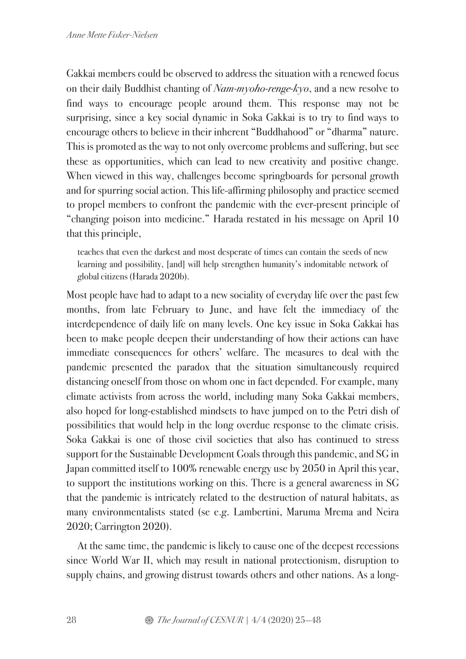Gakkai members could be observed to address the situation with a renewed focus on their daily Buddhist chanting of *Nam-myoho-renge-kyo*, and a new resolve to find ways to encourage people around them. This response may not be surprising, since a key social dynamic in Soka Gakkai is to try to find ways to encourage others to believe in their inherent "Buddhahood" or "dharma" nature. This is promoted as the way to not only overcome problems and suffering, but see these as opportunities, which can lead to new creativity and positive change. When viewed in this way, challenges become springboards for personal growth and for spurring social action. This life-affirming philosophy and practice seemed to propel members to confront the pandemic with the ever-present principle of "changing poison into medicine." Harada restated in his message on April 10 that this principle,

teaches that even the darkest and most desperate of times can contain the seeds of new learning and possibility, [and] will help strengthen humanity's indomitable network of global citizens (Harada 2020b).

Most people have had to adapt to a new sociality of everyday life over the past few months, from late February to June, and have felt the immediacy of the interdependence of daily life on many levels. One key issue in Soka Gakkai has been to make people deepen their understanding of how their actions can have immediate consequences for others' welfare. The measures to deal with the pandemic presented the paradox that the situation simultaneously required distancing oneself from those on whom one in fact depended. For example, many climate activists from across the world, including many Soka Gakkai members, also hoped for long-established mindsets to have jumped on to the Petri dish of possibilities that would help in the long overdue response to the climate crisis. Soka Gakkai is one of those civil societies that also has continued to stress support for the Sustainable Development Goals through this pandemic, and SG in Japan committed itself to 100% renewable energy use by 2050 in April this year, to support the institutions working on this. There is a general awareness in SG that the pandemic is intricately related to the destruction of natural habitats, as many environmentalists stated (se e.g. Lambertini, Maruma Mrema and Neira 2020; Carrington 2020).

At the same time, the pandemic is likely to cause one of the deepest recessions since World War II, which may result in national protectionism, disruption to supply chains, and growing distrust towards others and other nations. As a long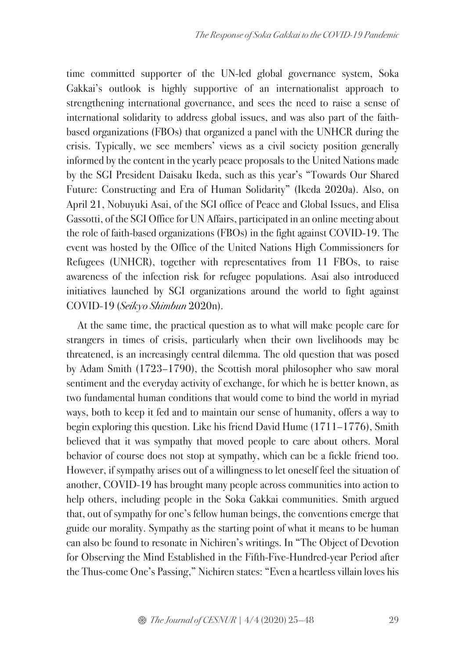time committed supporter of the UN-led global governance system, Soka Gakkai's outlook is highly supportive of an internationalist approach to strengthening international governance, and sees the need to raise a sense of international solidarity to address global issues, and was also part of the faithbased organizations (FBOs) that organized a panel with the UNHCR during the crisis. Typically, we see members' views as a civil society position generally informed by the content in the yearly peace proposals to the United Nations made by the SGI President Daisaku Ikeda, such as this year's "Towards Our Shared Future: Constructing and Era of Human Solidarity" (Ikeda 2020a). Also, on April 21, Nobuyuki Asai, of the SGI office of Peace and Global Issues, and Elisa Gassotti, of the SGI Office for UN Affairs, participated in an online meeting about the role of faith-based organizations (FBOs) in the fight against COVID-19. The event was hosted by the Office of the United Nations High Commissioners for Refugees (UNHCR), together with representatives from 11 FBOs, to raise awareness of the infection risk for refugee populations. Asai also introduced initiatives launched by SGI organizations around the world to fight against COVID-19 (*Seikyo Shimbun* 2020n).

At the same time, the practical question as to what will make people care for strangers in times of crisis, particularly when their own livelihoods may be threatened, is an increasingly central dilemma. The old question that was posed by Adam Smith (1723–1790), the Scottish moral philosopher who saw moral sentiment and the everyday activity of exchange, for which he is better known, as two fundamental human conditions that would come to bind the world in myriad ways, both to keep it fed and to maintain our sense of humanity, offers a way to begin exploring this question. Like his friend David Hume (1711–1776), Smith believed that it was sympathy that moved people to care about others. Moral behavior of course does not stop at sympathy, which can be a fickle friend too. However, if sympathy arises out of a willingness to let oneself feel the situation of another, COVID-19 has brought many people across communities into action to help others, including people in the Soka Gakkai communities. Smith argued that, out of sympathy for one's fellow human beings, the conventions emerge that guide our morality. Sympathy as the starting point of what it means to be human can also be found to resonate in Nichiren's writings. In "The Object of Devotion for Observing the Mind Established in the Fifth-Five-Hundred-year Period after the Thus-come One's Passing," Nichiren states: "Even a heartless villain loves his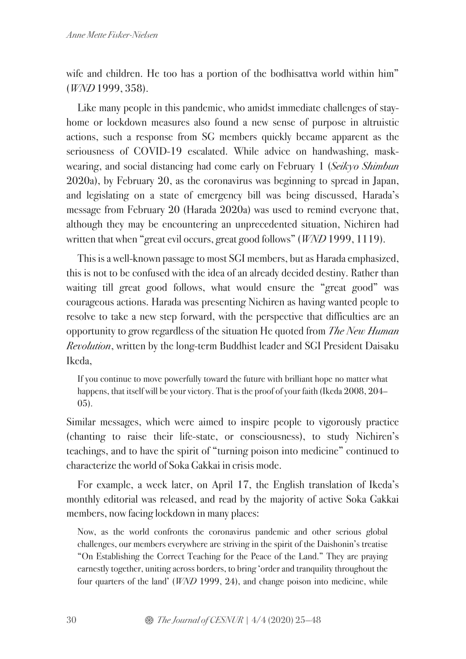wife and children. He too has a portion of the bodhisattva world within him" (*WND* 1999, 358).

Like many people in this pandemic, who amidst immediate challenges of stayhome or lockdown measures also found a new sense of purpose in altruistic actions, such a response from SG members quickly became apparent as the seriousness of COVID-19 escalated. While advice on handwashing, maskwearing, and social distancing had come early on February 1 (*Seikyo Shimbun* 2020a), by February 20, as the coronavirus was beginning to spread in Japan, and legislating on a state of emergency bill was being discussed, Harada's message from February 20 (Harada 2020a) was used to remind everyone that, although they may be encountering an unprecedented situation, Nichiren had written that when "great evil occurs, great good follows" (*WND* 1999, 1119).

This is a well-known passage to most SGI members, but as Harada emphasized, this is not to be confused with the idea of an already decided destiny. Rather than waiting till great good follows, what would ensure the "great good" was courageous actions. Harada was presenting Nichiren as having wanted people to resolve to take a new step forward, with the perspective that difficulties are an opportunity to grow regardless of the situation He quoted from *The New Human Revolution*, written by the long-term Buddhist leader and SGI President Daisaku Ikeda,

If you continue to move powerfully toward the future with brilliant hope no matter what happens, that itself will be your victory. That is the proof of your faith (Ikeda 2008, 204– 05).

Similar messages, which were aimed to inspire people to vigorously practice (chanting to raise their life-state, or consciousness), to study Nichiren's teachings, and to have the spirit of "turning poison into medicine" continued to characterize the world of Soka Gakkai in crisis mode.

For example, a week later, on April 17, the English translation of Ikeda's monthly editorial was released, and read by the majority of active Soka Gakkai members, now facing lockdown in many places:

Now, as the world confronts the coronavirus pandemic and other serious global challenges, our members everywhere are striving in the spirit of the Daishonin's treatise "On Establishing the Correct Teaching for the Peace of the Land." They are praying earnestly together, uniting across borders, to bring 'order and tranquility throughout the four quarters of the land' (WND 1999, 24), and change poison into medicine, while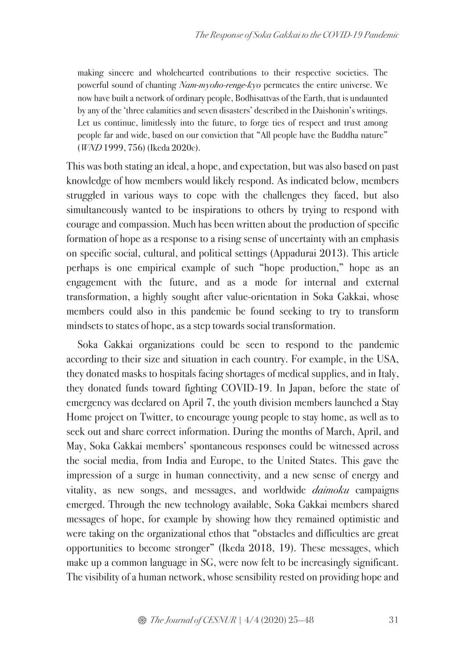making sincere and wholehearted contributions to their respective societies. The powerful sound of chanting Nam-myoho-renge-kyo permeates the entire universe. We now have built a network of ordinary people, Bodhisattvas of the Earth, that is undaunted by any of the 'three calamities and seven disasters' described in the Daishonin's writings. Let us continue, limitlessly into the future, to forge ties of respect and trust among people far and wide, based on our conviction that "All people have the Buddha nature" (WND 1999, 756) (Ikeda 2020c).

This was both stating an ideal, a hope, and expectation, but was also based on past knowledge of how members would likely respond. As indicated below, members struggled in various ways to cope with the challenges they faced, but also simultaneously wanted to be inspirations to others by trying to respond with courage and compassion. Much has been written about the production of specific formation of hope as a response to a rising sense of uncertainty with an emphasis on specific social, cultural, and political settings (Appadurai 2013). This article perhaps is one empirical example of such "hope production," hope as an engagement with the future, and as a mode for internal and external transformation, a highly sought after value-orientation in Soka Gakkai, whose members could also in this pandemic be found seeking to try to transform mindsets to states of hope, as a step towards social transformation.

Soka Gakkai organizations could be seen to respond to the pandemic according to their size and situation in each country. For example, in the USA, they donated masks to hospitals facing shortages of medical supplies, and in Italy, they donated funds toward fighting COVID-19. In Japan, before the state of emergency was declared on April 7, the youth division members launched a Stay Home project on Twitter, to encourage young people to stay home, as well as to seek out and share correct information. During the months of March, April, and May, Soka Gakkai members' spontaneous responses could be witnessed across the social media, from India and Europe, to the United States. This gave the impression of a surge in human connectivity, and a new sense of energy and vitality, as new songs, and messages, and worldwide *daimoku* campaigns emerged. Through the new technology available, Soka Gakkai members shared messages of hope, for example by showing how they remained optimistic and were taking on the organizational ethos that "obstacles and difficulties are great opportunities to become stronger" (Ikeda 2018, 19). These messages, which make up a common language in SG, were now felt to be increasingly significant. The visibility of a human network, whose sensibility rested on providing hope and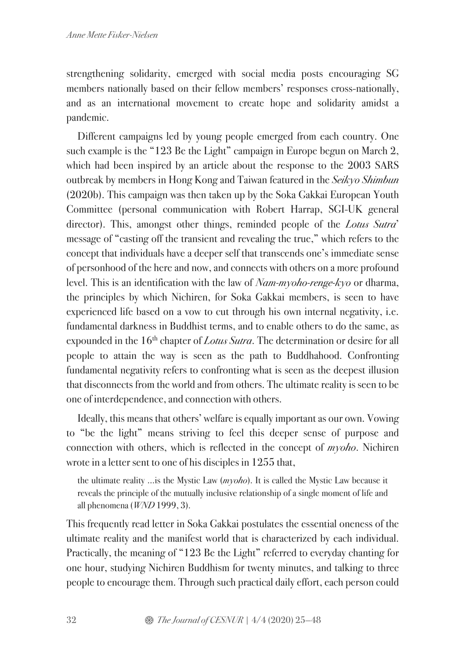strengthening solidarity, emerged with social media posts encouraging SG members nationally based on their fellow members' responses cross-nationally, and as an international movement to create hope and solidarity amidst a pandemic.

Different campaigns led by young people emerged from each country. One such example is the "123 Be the Light" campaign in Europe begun on March 2, which had been inspired by an article about the response to the 2003 SARS outbreak by members in Hong Kong and Taiwan featured in the *Seikyo Shimbun* (2020b). This campaign was then taken up by the Soka Gakkai European Youth Committee (personal communication with Robert Harrap, SGI-UK general director). This, amongst other things, reminded people of the *Lotus Sutra*' message of "casting off the transient and revealing the true," which refers to the concept that individuals have a deeper self that transcends one's immediate sense of personhood of the here and now, and connects with others on a more profound level. This is an identification with the law of *Nam-myoho-renge-kyo* or dharma, the principles by which Nichiren, for Soka Gakkai members, is seen to have experienced life based on a vow to cut through his own internal negativity, i.e. fundamental darkness in Buddhist terms, and to enable others to do the same, as expounded in the 16<sup>th</sup> chapter of *Lotus Sutra*. The determination or desire for all people to attain the way is seen as the path to Buddhahood. Confronting fundamental negativity refers to confronting what is seen as the deepest illusion that disconnects from the world and from others. The ultimate reality is seen to be one of interdependence, and connection with others.

Ideally, this means that others' welfare is equally important as our own. Vowing to "be the light" means striving to feel this deeper sense of purpose and connection with others, which is reflected in the concept of *myoho*. Nichiren wrote in a letter sent to one of his disciples in 1255 that,

the ultimate reality ... is the Mystic Law  $(myoho)$ . It is called the Mystic Law because it reveals the principle of the mutually inclusive relationship of a single moment of life and all phenomena  $(WND 1999, 3)$ .

This frequently read letter in Soka Gakkai postulates the essential oneness of the ultimate reality and the manifest world that is characterized by each individual. Practically, the meaning of "123 Be the Light" referred to everyday chanting for one hour, studying Nichiren Buddhism for twenty minutes, and talking to three people to encourage them. Through such practical daily effort, each person could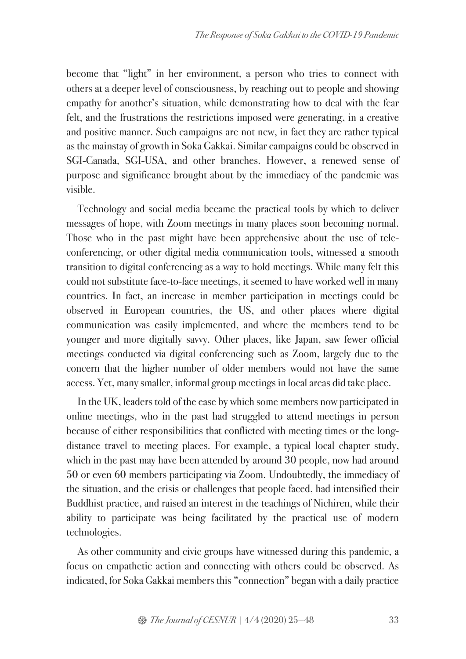become that "light" in her environment, a person who tries to connect with others at a deeper level of consciousness, by reaching out to people and showing empathy for another's situation, while demonstrating how to deal with the fear felt, and the frustrations the restrictions imposed were generating, in a creative and positive manner. Such campaigns are not new, in fact they are rather typical as the mainstay of growth in Soka Gakkai. Similar campaigns could be observed in SGI-Canada, SGI-USA, and other branches. However, a renewed sense of purpose and significance brought about by the immediacy of the pandemic was visible.

Technology and social media became the practical tools by which to deliver messages of hope, with Zoom meetings in many places soon becoming normal. Those who in the past might have been apprehensive about the use of teleconferencing, or other digital media communication tools, witnessed a smooth transition to digital conferencing as a way to hold meetings. While many felt this could not substitute face-to-face meetings, it seemed to have worked well in many countries. In fact, an increase in member participation in meetings could be observed in European countries, the US, and other places where digital communication was easily implemented, and where the members tend to be younger and more digitally savvy. Other places, like Japan, saw fewer official meetings conducted via digital conferencing such as Zoom, largely due to the concern that the higher number of older members would not have the same access. Yet, many smaller, informal group meetings in local areas did take place.

In the UK, leaders told of the ease by which some members now participated in online meetings, who in the past had struggled to attend meetings in person because of either responsibilities that conflicted with meeting times or the longdistance travel to meeting places. For example, a typical local chapter study, which in the past may have been attended by around 30 people, now had around 50 or even 60 members participating via Zoom. Undoubtedly, the immediacy of the situation, and the crisis or challenges that people faced, had intensified their Buddhist practice, and raised an interest in the teachings of Nichiren, while their ability to participate was being facilitated by the practical use of modern technologies.

As other community and civic groups have witnessed during this pandemic, a focus on empathetic action and connecting with others could be observed. As indicated, for Soka Gakkai members this "connection" began with a daily practice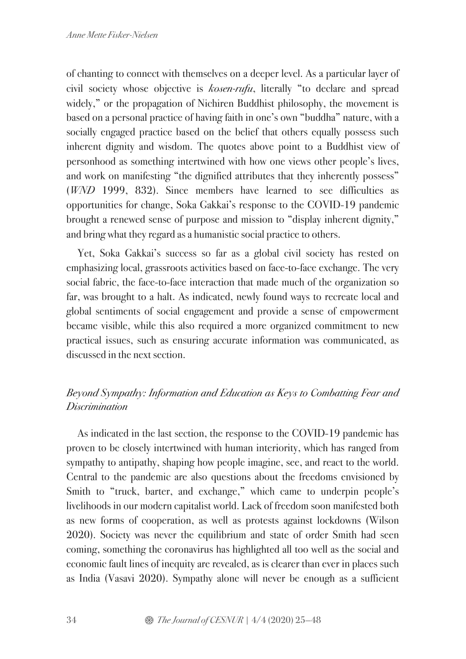of chanting to connect with themselves on a deeper level. As a particular layer of civil society whose objective is *kosen-rufu*, literally "to declare and spread widely," or the propagation of Nichiren Buddhist philosophy, the movement is based on a personal practice of having faith in one's own "buddha" nature, with a socially engaged practice based on the belief that others equally possess such inherent dignity and wisdom. The quotes above point to a Buddhist view of personhood as something intertwined with how one views other people's lives, and work on manifesting "the dignified attributes that they inherently possess" (*WND* 1999, 832). Since members have learned to see difficulties as opportunities for change, Soka Gakkai's response to the COVID-19 pandemic brought a renewed sense of purpose and mission to "display inherent dignity," and bring what they regard as a humanistic social practice to others.

Yet, Soka Gakkai's success so far as a global civil society has rested on emphasizing local, grassroots activities based on face-to-face exchange. The very social fabric, the face-to-face interaction that made much of the organization so far, was brought to a halt. As indicated, newly found ways to recreate local and global sentiments of social engagement and provide a sense of empowerment became visible, while this also required a more organized commitment to new practical issues, such as ensuring accurate information was communicated, as discussed in the next section.

# *Beyond Sympathy: Information and Education as Keys to Combatting Fear and Discrimination*

As indicated in the last section, the response to the COVID-19 pandemic has proven to be closely intertwined with human interiority, which has ranged from sympathy to antipathy, shaping how people imagine, see, and react to the world. Central to the pandemic are also questions about the freedoms envisioned by Smith to "truck, barter, and exchange," which came to underpin people's livelihoods in our modern capitalist world. Lack of freedom soon manifested both as new forms of cooperation, as well as protests against lockdowns (Wilson 2020). Society was never the equilibrium and state of order Smith had seen coming, something the coronavirus has highlighted all too well as the social and economic fault lines of inequity are revealed, as is clearer than ever in places such as India (Vasavi 2020). Sympathy alone will never be enough as a sufficient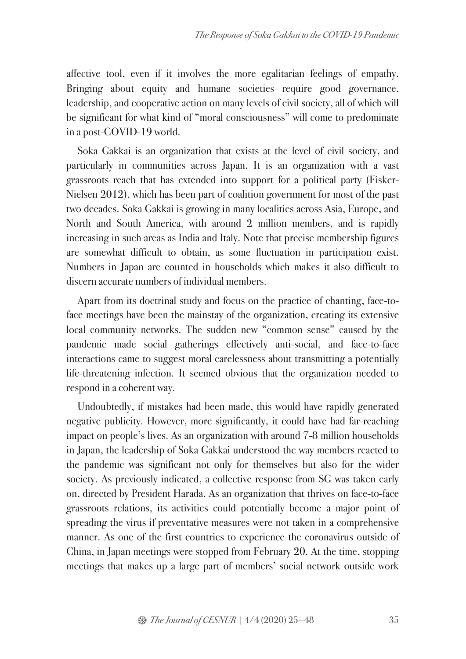affective tool, even if it involves the more egalitarian feelings of empathy. Bringing about equity and humane societies require good governance, leadership, and cooperative action on many levels of civil society, all of which will be significant for what kind of "moral consciousness" will come to predominate in a post-COVID-19 world.

Soka Gakkai is an organization that exists at the level of civil society, and particularly in communities across Japan. It is an organization with a vast grassroots reach that has extended into support for a political party (Fisker-Nielsen 2012), which has been part of coalition government for most of the past two decades. Soka Gakkai is growing in many localities across Asia, Europe, and North and South America, with around 2 million members, and is rapidly increasing in such areas as India and Italy. Note that precise membership figures are somewhat difficult to obtain, as some fluctuation in participation exist. Numbers in Japan are counted in households which makes it also difficult to discern accurate numbers of individual members.

Apart from its doctrinal study and focus on the practice of chanting, face-toface meetings have been the mainstay of the organization, creating its extensive local community networks. The sudden new "common sense" caused by the pandemic made social gatherings effectively anti-social, and face-to-face interactions came to suggest moral carelessness about transmitting a potentially life-threatening infection. It seemed obvious that the organization needed to respond in a coherent way.

Undoubtedly, if mistakes had been made, this would have rapidly generated negative publicity. However, more significantly, it could have had far-reaching impact on people's lives. As an organization with around 7-8 million households in Japan, the leadership of Soka Gakkai understood the way members reacted to the pandemic was significant not only for themselves but also for the wider society. As previously indicated, a collective response from SG was taken early on, directed by President Harada. As an organization that thrives on face-to-face grassroots relations, its activities could potentially become a major point of spreading the virus if preventative measures were not taken in a comprehensive manner. As one of the first countries to experience the coronavirus outside of China, in Japan meetings were stopped from February 20. At the time, stopping meetings that makes up a large part of members' social network outside work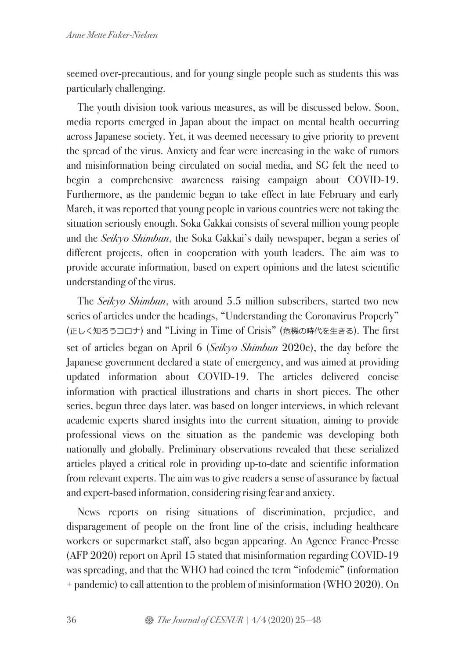seemed over-precautious, and for young single people such as students this was particularly challenging.

The youth division took various measures, as will be discussed below. Soon, media reports emerged in Japan about the impact on mental health occurring across Japanese society. Yet, it was deemed necessary to give priority to prevent the spread of the virus. Anxiety and fear were increasing in the wake of rumors and misinformation being circulated on social media, and SG felt the need to begin a comprehensive awareness raising campaign about COVID-19. Furthermore, as the pandemic began to take effect in late February and early March, it was reported that young people in various countries were not taking the situation seriously enough. Soka Gakkai consists of several million young people and the *Seikyo Shimbun*, the Soka Gakkai's daily newspaper, began a series of different projects, often in cooperation with youth leaders. The aim was to provide accurate information, based on expert opinions and the latest scientific understanding of the virus.

The *Seikyo Shimbun*, with around 5.5 million subscribers, started two new series of articles under the headings, "Understanding the Coronavirus Properly" (正しく知ろうコロナ) and "Living in Time of Crisis" (危機の時代を⽣きる). The first set of articles began on April 6 (*Seikyo Shimbun* 2020e), the day before the Japanese government declared a state of emergency, and was aimed at providing updated information about COVID-19. The articles delivered concise information with practical illustrations and charts in short pieces. The other series, begun three days later, was based on longer interviews, in which relevant academic experts shared insights into the current situation, aiming to provide professional views on the situation as the pandemic was developing both nationally and globally. Preliminary observations revealed that these serialized articles played a critical role in providing up-to-date and scientific information from relevant experts. The aim was to give readers a sense of assurance by factual and expert-based information, considering rising fear and anxiety.

News reports on rising situations of discrimination, prejudice, and disparagement of people on the front line of the crisis, including healthcare workers or supermarket staff, also began appearing. An Agence France-Presse (AFP 2020) report on April 15 stated that misinformation regarding COVID-19 was spreading, and that the WHO had coined the term "infodemic" (information + pandemic) to call attention to the problem of misinformation (WHO 2020). On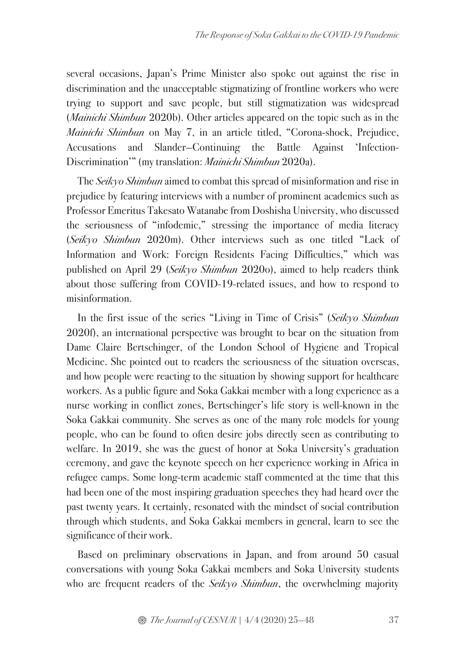several occasions, Japan's Prime Minister also spoke out against the rise in discrimination and the unacceptable stigmatizing of frontline workers who were trying to support and save people, but still stigmatization was widespread (*Mainichi Shimbun* 2020b). Other articles appeared on the topic such as in the *Mainichi Shimbun* on May 7, in an article titled, "Corona-shock, Prejudice, Accusations and Slander—Continuing the Battle Against 'Infection-Discrimination'" (my translation: *Mainichi Shimbun* 2020a).

The *Seikyo Shimbun* aimed to combat this spread of misinformation and rise in prejudice by featuring interviews with a number of prominent academics such as Professor Emeritus Takesato Watanabe from Doshisha University, who discussed the seriousness of "infodemic," stressing the importance of media literacy (*Seikyo Shimbun* 2020m). Other interviews such as one titled "Lack of Information and Work: Foreign Residents Facing Difficulties," which was published on April 29 (*Seikyo Shimbun* 2020o), aimed to help readers think about those suffering from COVID-19-related issues, and how to respond to misinformation.

In the first issue of the series "Living in Time of Crisis" (*Seikyo Shimbun*  2020f), an international perspective was brought to bear on the situation from Dame Claire Bertschinger, of the London School of Hygiene and Tropical Medicine. She pointed out to readers the seriousness of the situation overseas, and how people were reacting to the situation by showing support for healthcare workers. As a public figure and Soka Gakkai member with a long experience as a nurse working in conflict zones, Bertschinger's life story is well-known in the Soka Gakkai community. She serves as one of the many role models for young people, who can be found to often desire jobs directly seen as contributing to welfare. In 2019, she was the guest of honor at Soka University's graduation ceremony, and gave the keynote speech on her experience working in Africa in refugee camps. Some long-term academic staff commented at the time that this had been one of the most inspiring graduation speeches they had heard over the past twenty years. It certainly, resonated with the mindset of social contribution through which students, and Soka Gakkai members in general, learn to see the significance of their work.

Based on preliminary observations in Japan, and from around 50 casual conversations with young Soka Gakkai members and Soka University students who are frequent readers of the *Seikyo Shimbun*, the overwhelming majority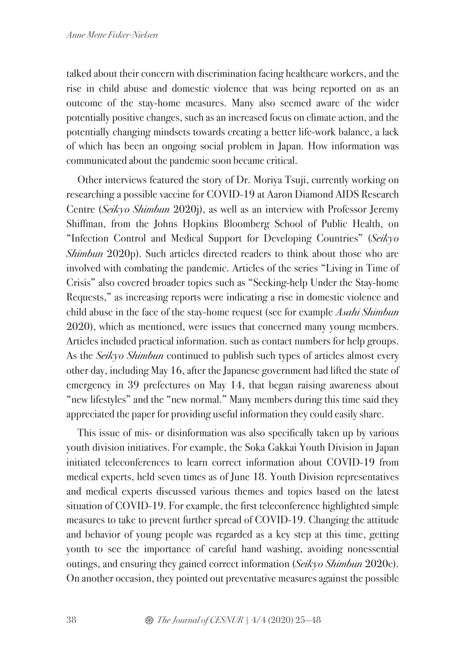talked about their concern with discrimination facing healthcare workers, and the rise in child abuse and domestic violence that was being reported on as an outcome of the stay-home measures. Many also seemed aware of the wider potentially positive changes, such as an increased focus on climate action, and the potentially changing mindsets towards creating a better life-work balance, a lack of which has been an ongoing social problem in Japan. How information was communicated about the pandemic soon became critical.

Other interviews featured the story of Dr. Moriya Tsuji, currently working on researching a possible vaccine for COVID-19 at Aaron Diamond AIDS Research Centre (*Seikyo Shimbun* 2020j), as well as an interview with Professor Jeremy Shiffman, from the Johns Hopkins Bloomberg School of Public Health, on "Infection Control and Medical Support for Developing Countries" (*Seikyo Shimbun* 2020p). Such articles directed readers to think about those who are involved with combating the pandemic. Articles of the series "Living in Time of Crisis" also covered broader topics such as "Seeking-help Under the Stay-home Requests," as increasing reports were indicating a rise in domestic violence and child abuse in the face of the stay-home request (see for example *Asahi Shimbun* 2020), which as mentioned, were issues that concerned many young members. Articles included practical information. such as contact numbers for help groups. As the *Seikyo Shimbun* continued to publish such types of articles almost every other day, including May 16, after the Japanese government had lifted the state of emergency in 39 prefectures on May 14, that began raising awareness about "new lifestyles" and the "new normal." Many members during this time said they appreciated the paper for providing useful information they could easily share.

This issue of mis- or disinformation was also specifically taken up by various youth division initiatives. For example, the Soka Gakkai Youth Division in Japan initiated teleconferences to learn correct information about COVID-19 from medical experts, held seven times as of June 18. Youth Division representatives and medical experts discussed various themes and topics based on the latest situation of COVID-19. For example, the first teleconference highlighted simple measures to take to prevent further spread of COVID-19. Changing the attitude and behavior of young people was regarded as a key step at this time, getting youth to see the importance of careful hand washing, avoiding nonessential outings, and ensuring they gained correct information (*Seikyo Shimbun* 2020c). On another occasion, they pointed out preventative measures against the possible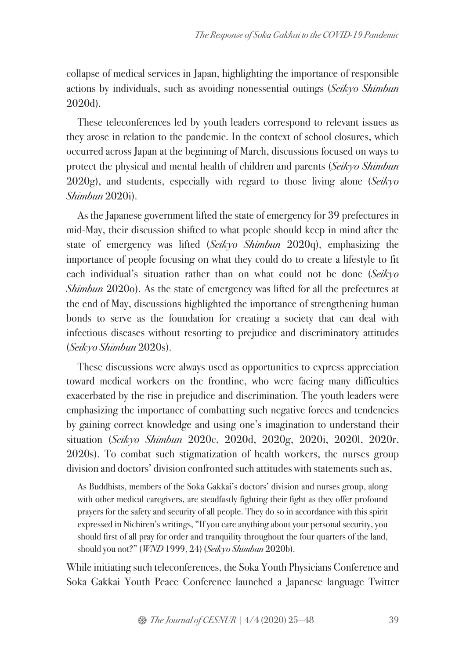collapse of medical services in Japan, highlighting the importance of responsible actions by individuals, such as avoiding nonessential outings (*Seikyo Shimbun* 2020d).

These teleconferences led by youth leaders correspond to relevant issues as they arose in relation to the pandemic. In the context of school closures, which occurred across Japan at the beginning of March, discussions focused on ways to protect the physical and mental health of children and parents (*Seikyo Shimbun* 2020g), and students, especially with regard to those living alone (*Seikyo Shimbun* 2020i).

As the Japanese government lifted the state of emergency for 39 prefectures in mid-May, their discussion shifted to what people should keep in mind after the state of emergency was lifted (*Seikyo Shimbun* 2020q), emphasizing the importance of people focusing on what they could do to create a lifestyle to fit each individual's situation rather than on what could not be done (*Seikyo Shimbun* 2020o). As the state of emergency was lifted for all the prefectures at the end of May, discussions highlighted the importance of strengthening human bonds to serve as the foundation for creating a society that can deal with infectious diseases without resorting to prejudice and discriminatory attitudes (*Seikyo Shimbun* 2020s).

These discussions were always used as opportunities to express appreciation toward medical workers on the frontline, who were facing many difficulties exacerbated by the rise in prejudice and discrimination. The youth leaders were emphasizing the importance of combatting such negative forces and tendencies by gaining correct knowledge and using one's imagination to understand their situation (*Seikyo Shimbun* 2020c, 2020d, 2020g, 2020i, 2020l, 2020r, 2020s). To combat such stigmatization of health workers, the nurses group division and doctors' division confronted such attitudes with statements such as,

As Buddhists, members of the Soka Gakkai's doctors' division and nurses group, along with other medical caregivers, are steadfastly fighting their fight as they offer profound prayers for the safety and security of all people. They do so in accordance with this spirit expressed in Nichiren's writings, "If you care anything about your personal security, you should first of all pray for order and tranquility throughout the four quarters of the land, should you not?" (WND 1999, 24) (Seikyo Shimbun 2020b).

While initiating such teleconferences, the Soka Youth Physicians Conference and Soka Gakkai Youth Peace Conference launched a Japanese language Twitter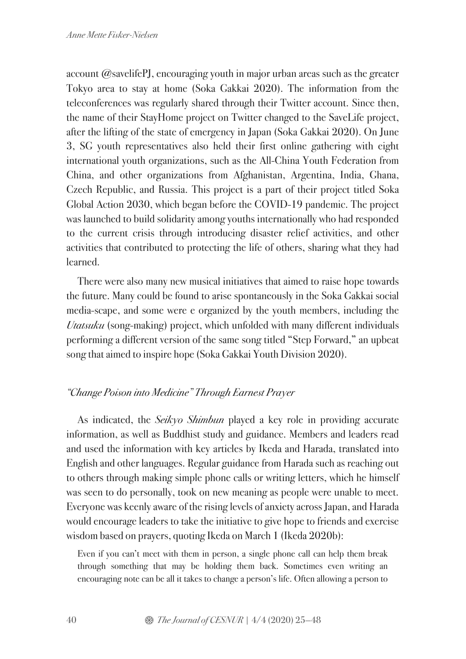account @savelifePJ, encouraging youth in major urban areas such as the greater Tokyo area to stay at home (Soka Gakkai 2020). The information from the teleconferences was regularly shared through their Twitter account. Since then, the name of their StayHome project on Twitter changed to the SaveLife project, after the lifting of the state of emergency in Japan (Soka Gakkai 2020). On June 3, SG youth representatives also held their first online gathering with eight international youth organizations, such as the All-China Youth Federation from China, and other organizations from Afghanistan, Argentina, India, Ghana, Czech Republic, and Russia. This project is a part of their project titled Soka Global Action 2030, which began before the COVID-19 pandemic. The project was launched to build solidarity among youths internationally who had responded to the current crisis through introducing disaster relief activities, and other activities that contributed to protecting the life of others, sharing what they had learned.

There were also many new musical initiatives that aimed to raise hope towards the future. Many could be found to arise spontaneously in the Soka Gakkai social media-scape, and some were e organized by the youth members, including the *Utatsuku* (song-making) project, which unfolded with many different individuals performing a different version of the same song titled "Step Forward," an upbeat song that aimed to inspire hope (Soka Gakkai Youth Division 2020).

## *"Change Poison into Medicine" Through Earnest Prayer*

As indicated, the *Seikyo Shimbun* played a key role in providing accurate information, as well as Buddhist study and guidance. Members and leaders read and used the information with key articles by Ikeda and Harada, translated into English and other languages. Regular guidance from Harada such as reaching out to others through making simple phone calls or writing letters, which he himself was seen to do personally, took on new meaning as people were unable to meet. Everyone was keenly aware of the rising levels of anxiety across Japan, and Harada would encourage leaders to take the initiative to give hope to friends and exercise wisdom based on prayers, quoting Ikeda on March 1 (Ikeda 2020b):

Even if you can't meet with them in person, a single phone call can help them break through something that may be holding them back. Sometimes even writing an encouraging note can be all it takes to change a person's life. Often allowing a person to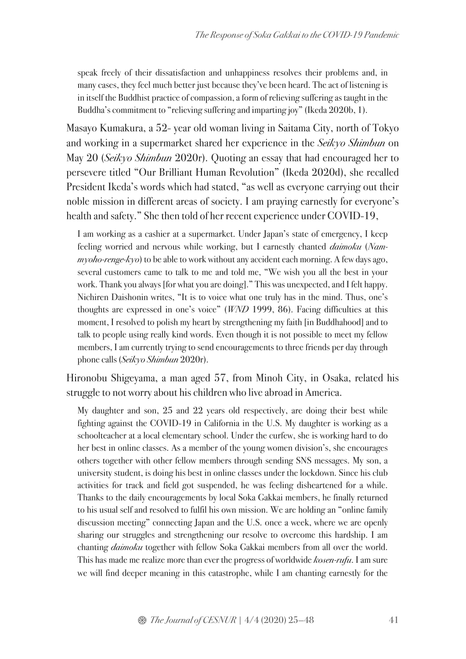speak freely of their dissatisfaction and unhappiness resolves their problems and, in many cases, they feel much better just because they've been heard. The act of listening is in itself the Buddhist practice of compassion, a form of relieving suffering as taught in the Buddha's commitment to "relieving suffering and imparting joy" (Ikeda 2020b, 1).

Masayo Kumakura, a 52- year old woman living in Saitama City, north of Tokyo and working in a supermarket shared her experience in the *Seikyo Shimbun* on May 20 (*Seikyo Shimbun* 2020r). Quoting an essay that had encouraged her to persevere titled "Our Brilliant Human Revolution" (Ikeda 2020d), she recalled President Ikeda's words which had stated, "as well as everyone carrying out their noble mission in different areas of society. I am praying earnestly for everyone's health and safety." She then told of her recent experience under COVID-19,

I am working as a cashier at a supermarket. Under Japan's state of emergency, I keep feeling worried and nervous while working, but I earnestly chanted *daimoku* (Nam $m$ *yoho-renge-kyo*) to be able to work without any accident each morning. A few days ago, several customers came to talk to me and told me, "We wish you all the best in your work. Thank you always [for what you are doing]." This was unexpected, and I felt happy. Nichiren Daishonin writes, "It is to voice what one truly has in the mind. Thus, one's thoughts are expressed in one's voice" (WND 1999, 86). Facing difficulties at this moment, I resolved to polish my heart by strengthening my faith [in Buddhahood] and to talk to people using really kind words. Even though it is not possible to meet my fellow members, I am currently trying to send encouragements to three friends per day through phone calls (Seikyo Shimbun 2020r).

Hironobu Shigeyama, a man aged 57, from Minoh City, in Osaka, related his struggle to not worry about his children who live abroad in America.

My daughter and son, 25 and 22 years old respectively, are doing their best while fighting against the COVID-19 in California in the U.S. My daughter is working as a schoolteacher at a local elementary school. Under the curfew, she is working hard to do her best in online classes. As a member of the young women division's, she encourages others together with other fellow members through sending SNS messages. My son, a university student, is doing his best in online classes under the lockdown. Since his club activities for track and field got suspended, he was feeling disheartened for a while. Thanks to the daily encouragements by local Soka Gakkai members, he finally returned to his usual self and resolved to fulfil his own mission. We are holding an "online family discussion meeting" connecting Japan and the U.S. once a week, where we are openly sharing our struggles and strengthening our resolve to overcome this hardship. I am chanting *daimoku* together with fellow Soka Gakkai members from all over the world. This has made me realize more than ever the progress of worldwide *kosen-rufu*. I am sure we will find deeper meaning in this catastrophe, while I am chanting earnestly for the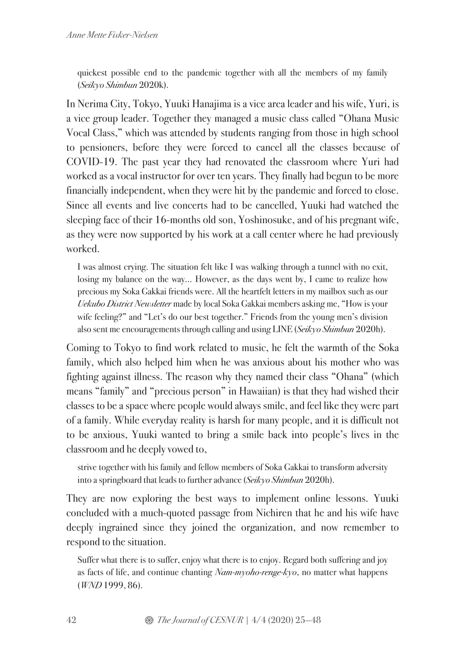quickest possible end to the pandemic together with all the members of my family (Seikyo Shimbun 2020k).

In Nerima City, Tokyo, Yuuki Hanajima is a vice area leader and his wife, Yuri, is a vice group leader. Together they managed a music class called "Ohana Music Vocal Class," which was attended by students ranging from those in high school to pensioners, before they were forced to cancel all the classes because of COVID-19. The past year they had renovated the classroom where Yuri had worked as a vocal instructor for over ten years. They finally had begun to be more financially independent, when they were hit by the pandemic and forced to close. Since all events and live concerts had to be cancelled, Yuuki had watched the sleeping face of their 16-months old son, Yoshinosuke, and of his pregnant wife, as they were now supported by his work at a call center where he had previously worked.

I was almost crying. The situation felt like I was walking through a tunnel with no exit, losing my balance on the way… However, as the days went by, I came to realize how precious my Soka Gakkai friends were. All the heartfelt letters in my mailbox such as our Uekubo District Newsletter made by local Soka Gakkai members asking me, "How is your wife feeling?" and "Let's do our best together." Friends from the young men's division also sent me encouragements through calling and using LINE (Seikyo Shimbun 2020h).

Coming to Tokyo to find work related to music, he felt the warmth of the Soka family, which also helped him when he was anxious about his mother who was fighting against illness. The reason why they named their class "Ohana" (which means "family" and "precious person" in Hawaiian) is that they had wished their classes to be a space where people would always smile, and feel like they were part of a family. While everyday reality is harsh for many people, and it is difficult not to be anxious, Yuuki wanted to bring a smile back into people's lives in the classroom and he deeply vowed to,

strive together with his family and fellow members of Soka Gakkai to transform adversity into a springboard that leads to further advance (Seikyo Shimbun 2020h).

They are now exploring the best ways to implement online lessons. Yuuki concluded with a much-quoted passage from Nichiren that he and his wife have deeply ingrained since they joined the organization, and now remember to respond to the situation.

Suffer what there is to suffer, enjoy what there is to enjoy. Regard both suffering and joy as facts of life, and continue chanting  $Nam\text{-}myoho\text{-}reng\text{-}kyo$ , no matter what happens (WND 1999, 86).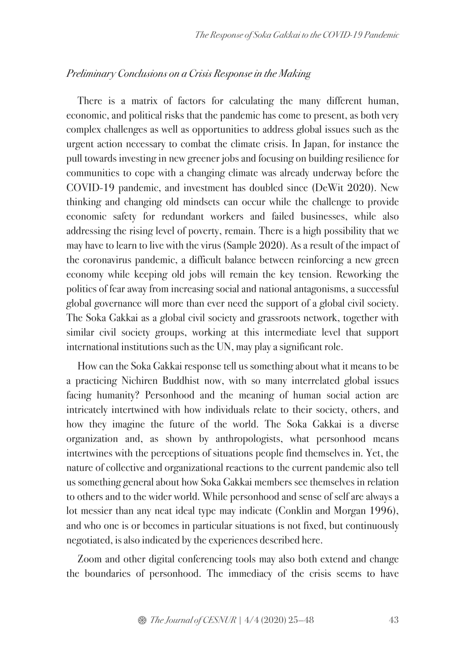#### *Preliminary Conclusions on a Crisis Response in the Making*

There is a matrix of factors for calculating the many different human, economic, and political risks that the pandemic has come to present, as both very complex challenges as well as opportunities to address global issues such as the urgent action necessary to combat the climate crisis. In Japan, for instance the pull towards investing in new greener jobs and focusing on building resilience for communities to cope with a changing climate was already underway before the COVID-19 pandemic, and investment has doubled since (DeWit 2020). New thinking and changing old mindsets can occur while the challenge to provide economic safety for redundant workers and failed businesses, while also addressing the rising level of poverty, remain. There is a high possibility that we may have to learn to live with the virus (Sample 2020). As a result of the impact of the coronavirus pandemic, a difficult balance between reinforcing a new green economy while keeping old jobs will remain the key tension. Reworking the politics of fear away from increasing social and national antagonisms, a successful global governance will more than ever need the support of a global civil society. The Soka Gakkai as a global civil society and grassroots network, together with similar civil society groups, working at this intermediate level that support international institutions such as the UN, may play a significant role.

How can the Soka Gakkai response tell us something about what it means to be a practicing Nichiren Buddhist now, with so many interrelated global issues facing humanity? Personhood and the meaning of human social action are intricately intertwined with how individuals relate to their society, others, and how they imagine the future of the world. The Soka Gakkai is a diverse organization and, as shown by anthropologists, what personhood means intertwines with the perceptions of situations people find themselves in. Yet, the nature of collective and organizational reactions to the current pandemic also tell us something general about how Soka Gakkai members see themselves in relation to others and to the wider world. While personhood and sense of self are always a lot messier than any neat ideal type may indicate (Conklin and Morgan 1996), and who one is or becomes in particular situations is not fixed, but continuously negotiated, is also indicated by the experiences described here.

Zoom and other digital conferencing tools may also both extend and change the boundaries of personhood. The immediacy of the crisis seems to have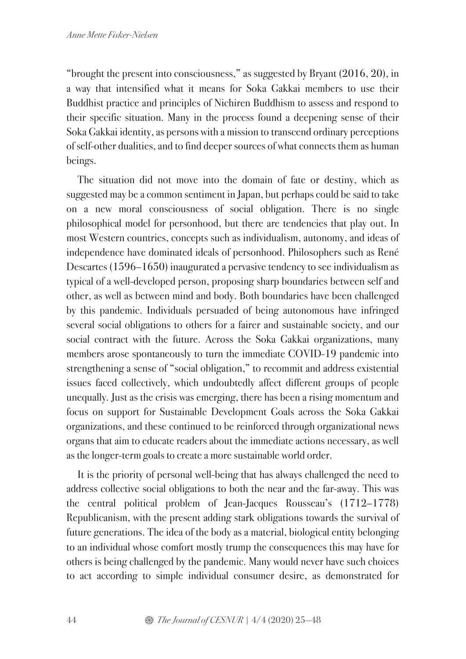"brought the present into consciousness," as suggested by Bryant (2016, 20), in a way that intensified what it means for Soka Gakkai members to use their Buddhist practice and principles of Nichiren Buddhism to assess and respond to their specific situation. Many in the process found a deepening sense of their Soka Gakkai identity, as persons with a mission to transcend ordinary perceptions of self-other dualities, and to find deeper sources of what connects them as human beings.

The situation did not move into the domain of fate or destiny, which as suggested may be a common sentiment in Japan, but perhaps could be said to take on a new moral consciousness of social obligation. There is no single philosophical model for personhood, but there are tendencies that play out. In most Western countries, concepts such as individualism, autonomy, and ideas of independence have dominated ideals of personhood. Philosophers such as René Descartes (1596–1650) inaugurated a pervasive tendency to see individualism as typical of a well-developed person, proposing sharp boundaries between self and other, as well as between mind and body. Both boundaries have been challenged by this pandemic. Individuals persuaded of being autonomous have infringed several social obligations to others for a fairer and sustainable society, and our social contract with the future. Across the Soka Gakkai organizations, many members arose spontaneously to turn the immediate COVID-19 pandemic into strengthening a sense of "social obligation," to recommit and address existential issues faced collectively, which undoubtedly affect different groups of people unequally. Just as the crisis was emerging, there has been a rising momentum and focus on support for Sustainable Development Goals across the Soka Gakkai organizations, and these continued to be reinforced through organizational news organs that aim to educate readers about the immediate actions necessary, as well as the longer-term goals to create a more sustainable world order.

It is the priority of personal well-being that has always challenged the need to address collective social obligations to both the near and the far-away. This was the central political problem of Jean-Jacques Rousseau's (1712–1778) Republicanism, with the present adding stark obligations towards the survival of future generations. The idea of the body as a material, biological entity belonging to an individual whose comfort mostly trump the consequences this may have for others is being challenged by the pandemic. Many would never have such choices to act according to simple individual consumer desire, as demonstrated for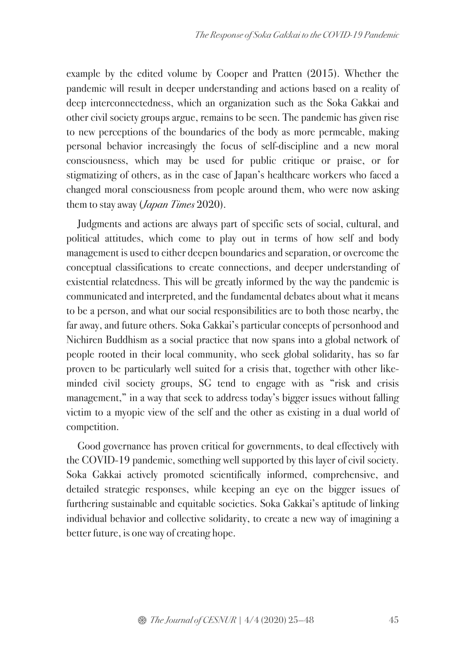example by the edited volume by Cooper and Pratten (2015). Whether the pandemic will result in deeper understanding and actions based on a reality of deep interconnectedness, which an organization such as the Soka Gakkai and other civil society groups argue, remains to be seen. The pandemic has given rise to new perceptions of the boundaries of the body as more permeable, making personal behavior increasingly the focus of self-discipline and a new moral consciousness, which may be used for public critique or praise, or for stigmatizing of others, as in the case of Japan's healthcare workers who faced a changed moral consciousness from people around them, who were now asking them to stay away (*Japan Times* 2020).

Judgments and actions are always part of specific sets of social, cultural, and political attitudes, which come to play out in terms of how self and body management is used to either deepen boundaries and separation, or overcome the conceptual classifications to create connections, and deeper understanding of existential relatedness. This will be greatly informed by the way the pandemic is communicated and interpreted, and the fundamental debates about what it means to be a person, and what our social responsibilities are to both those nearby, the far away, and future others. Soka Gakkai's particular concepts of personhood and Nichiren Buddhism as a social practice that now spans into a global network of people rooted in their local community, who seek global solidarity, has so far proven to be particularly well suited for a crisis that, together with other likeminded civil society groups, SG tend to engage with as "risk and crisis management," in a way that seek to address today's bigger issues without falling victim to a myopic view of the self and the other as existing in a dual world of competition.

Good governance has proven critical for governments, to deal effectively with the COVID-19 pandemic, something well supported by this layer of civil society. Soka Gakkai actively promoted scientifically informed, comprehensive, and detailed strategic responses, while keeping an eye on the bigger issues of furthering sustainable and equitable societies. Soka Gakkai's aptitude of linking individual behavior and collective solidarity, to create a new way of imagining a better future, is one way of creating hope.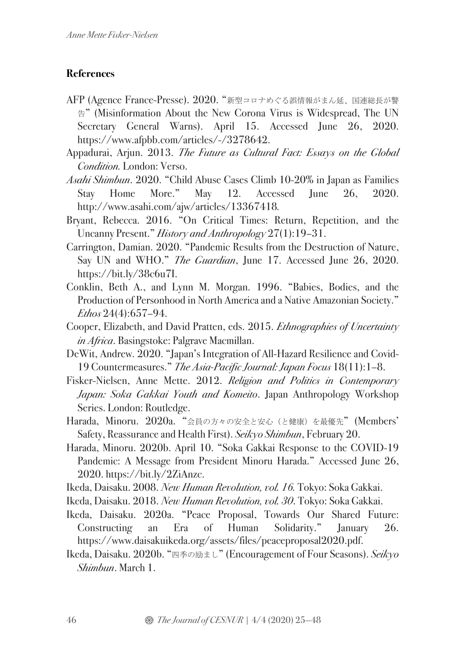# **References**

- AFP (Agence France-Presse). 2020. "新型コロナめぐる誤情報がまん延、国連総長が警 告" (Misinformation About the New Corona Virus is Widespread, The UN Secretary General Warns). April 15. Accessed June 26, 2020. https://www.afpbb.com/articles/-/3278642.
- Appadurai, Arjun. 2013. *The Future as Cultural Fact: Essays on the Global Condition.* London: Verso.
- *Asahi Shimbun*. 2020. "Child Abuse Cases Climb 10-20% in Japan as Families Stay Home More." May 12. Accessed June 26, 2020. http://www.asahi.com/ajw/articles/13367418*.*
- Bryant, Rebecca. 2016. "On Critical Times: Return, Repetition, and the Uncanny Present." *History and Anthropology* 27(1):19–31.
- Carrington, Damian. 2020. "Pandemic Results from the Destruction of Nature, Say UN and WHO." *The Guardian*, June 17. Accessed June 26, 2020. https://bit.ly/38c6u7I.
- Conklin, Beth A., and Lynn M. Morgan. 1996. "Babies, Bodies, and the Production of Personhood in North America and a Native Amazonian Society." *Ethos* 24(4):657–94.
- Cooper, Elizabeth, and David Pratten, eds. 2015. *Ethnographies of Uncertainty in Africa*. Basingstoke: Palgrave Macmillan.
- DeWit, Andrew. 2020. "Japan's Integration of All-Hazard Resilience and Covid-19 Countermeasures." *The Asia-Pacific Journal: Japan Focus* 18(11):1–8.
- Fisker-Nielsen, Anne Mette. 2012. *Religion and Politics in Contemporary Japan: Soka Gakkai Youth and Komeito*. Japan Anthropology Workshop Series. London: Routledge.
- Harada, Minoru. 2020a. "会員の方々の安全と安心(と健康)を最優先" (Members' Safety, Reassurance and Health First). *Seikyo Shimbun*, February 20.
- Harada, Minoru. 2020b. April 10. "Soka Gakkai Response to the COVID-19 Pandemic: A Message from President Minoru Harada." Accessed June 26, 2020. https://bit.ly/2ZiAnzc.
- Ikeda, Daisaku. 2008. *New Human Revolution, vol. 16.* Tokyo: Soka Gakkai.
- Ikeda, Daisaku. 2018. *New Human Revolution, vol. 30*. Tokyo: Soka Gakkai.
- Ikeda, Daisaku. 2020a. "Peace Proposal, Towards Our Shared Future: Constructing an Era of Human Solidarity." January 26. https://www.daisakuikeda.org/assets/files/peaceproposal2020.pdf.
- Ikeda, Daisaku. 2020b. "四季の励まし" (Encouragement of Four Seasons). *Seikyo Shimbun*. March 1.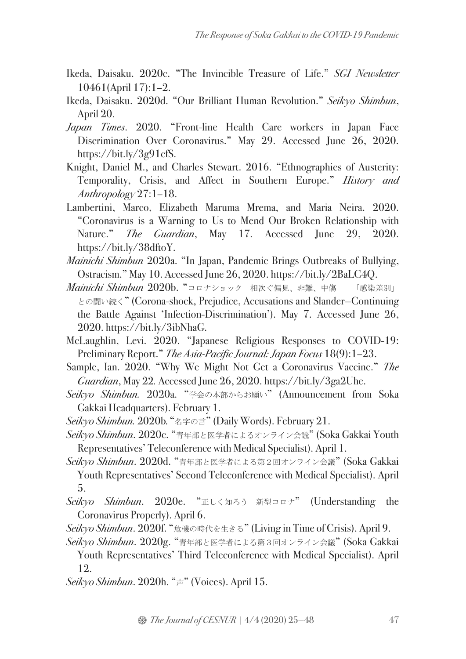- Ikeda, Daisaku. 2020c. "The Invincible Treasure of Life." *SGI Newsletter*  10461(April 17):1–2.
- Ikeda, Daisaku. 2020d. "Our Brilliant Human Revolution." *Seikyo Shimbun*, April 20.
- *Japan Times*. 2020. "Front-line Health Care workers in Japan Face Discrimination Over Coronavirus." May 29. Accessed June 26, 2020. https://bit.ly/3g91cfS.
- Knight, Daniel M., and Charles Stewart. 2016. "Ethnographies of Austerity: Temporality, Crisis, and Affect in Southern Europe." *History and Anthropology* 27:1–18.
- Lambertini, Marco, Elizabeth Maruma Mrema, and Maria Neira. 2020. "Coronavirus is a Warning to Us to Mend Our Broken Relationship with Nature." *The Guardian*, May 17. Accessed June 29, 2020. https://bit.ly/38dftoY.
- *Mainichi Shimbun* 2020a. "In Japan, Pandemic Brings Outbreaks of Bullying, Ostracism." May 10. Accessed June 26, 2020. https://bit.ly/2BaLC4Q.
- *Mainichi Shimbun* 2020b. "コロナショック 相次ぐ偏見、非難、中傷--「感染差別」 との闘い続く" (Corona-shock, Prejudice, Accusations and Slander—Continuing the Battle Against 'Infection-Discrimination'). May 7. Accessed June 26, 2020. https://bit.ly/3ibNhaG.
- McLaughlin, Levi. 2020. "Japanese Religious Responses to COVID-19: Preliminary Report." *The Asia-Pacific Journal: Japan Focus* 18(9):1–23.
- Sample, Ian. 2020. "Why We Might Not Get a Coronavirus Vaccine." *The Guardian*, May 22*.* Accessed June 26, 2020. https://bit.ly/3ga2Uhe.
- *Seikyo Shimbun.* 2020a. "学会の本部からお願い" (Announcement from Soka Gakkai Headquarters). February 1.
- *Seikyo Shimbun.* 2020b*.* "名字の言" (Daily Words). February 21.
- *Seikyo Shimbun*. 2020c. "青年部と医学者によるオンライン会議" (Soka Gakkai Youth Representatives' Teleconference with Medical Specialist). April 1.
- *Seikyo Shimbun*. 2020d. "青年部と医学者による第2回オンライン会議" (Soka Gakkai Youth Representatives' Second Teleconference with Medical Specialist). April 5.
- *Seikyo Shimbun*. 2020e. "正しく知ろう 新型コロナ" (Understanding the Coronavirus Properly). April 6.
- *Seikyo Shimbun*. 2020f. "危機の時代を生きる" (Living in Time of Crisis). April 9.
- *Seikyo Shimbun*. 2020g. "青年部と医学者による第3回オンライン会議" (Soka Gakkai Youth Representatives' Third Teleconference with Medical Specialist). April 12.
- *Seikyo Shimbun*. 2020h. "声" (Voices). April 15.